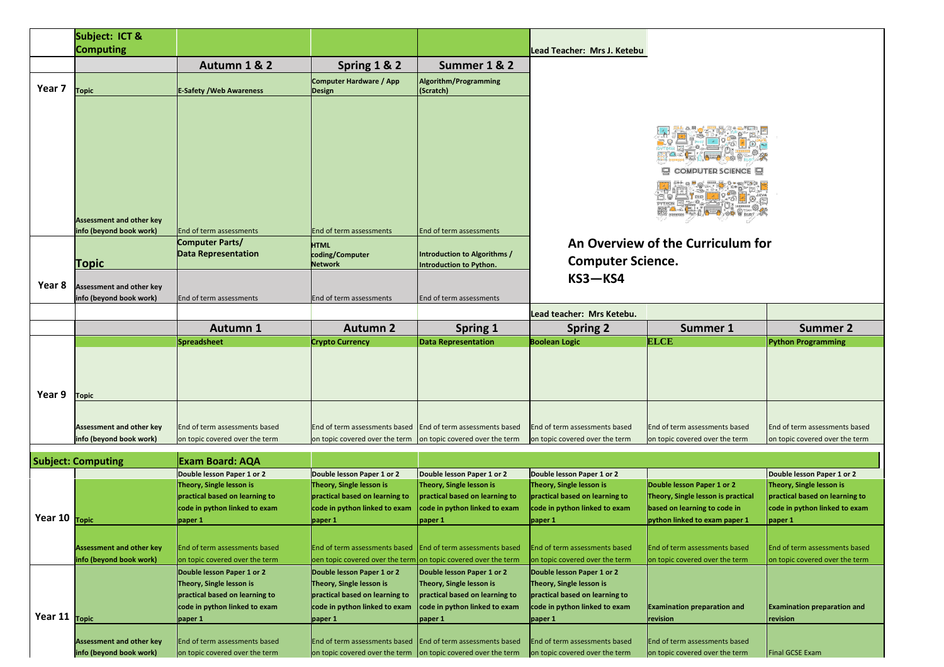|               | Subject: ICT &                  |                                                                 |                                                                         |                                                                 |                                                                 |                                    |                                    |
|---------------|---------------------------------|-----------------------------------------------------------------|-------------------------------------------------------------------------|-----------------------------------------------------------------|-----------------------------------------------------------------|------------------------------------|------------------------------------|
|               | <b>Computing</b>                |                                                                 |                                                                         |                                                                 | Lead Teacher: Mrs J. Ketebu                                     |                                    |                                    |
|               |                                 | Autumn 1 & 2                                                    | Spring 1 & 2                                                            | Summer 1 & 2                                                    |                                                                 |                                    |                                    |
| Year 7        | <b>Topic</b>                    | <b>E-Safety / Web Awareness</b>                                 | <b>Computer Hardware / App</b><br>Design                                | <b>Algorithm/Programming</b><br>(Scratch)                       |                                                                 |                                    |                                    |
|               |                                 |                                                                 |                                                                         |                                                                 |                                                                 |                                    |                                    |
|               |                                 |                                                                 |                                                                         |                                                                 |                                                                 |                                    |                                    |
|               |                                 |                                                                 |                                                                         |                                                                 |                                                                 |                                    |                                    |
|               |                                 |                                                                 |                                                                         |                                                                 |                                                                 |                                    |                                    |
|               |                                 |                                                                 |                                                                         |                                                                 |                                                                 |                                    |                                    |
|               |                                 |                                                                 |                                                                         |                                                                 |                                                                 | 딜 COMPUTER SCIENCE 딢               |                                    |
|               |                                 |                                                                 |                                                                         |                                                                 |                                                                 |                                    |                                    |
|               |                                 |                                                                 |                                                                         |                                                                 |                                                                 |                                    |                                    |
|               |                                 |                                                                 |                                                                         |                                                                 |                                                                 |                                    |                                    |
|               | <b>Assessment and other key</b> |                                                                 |                                                                         |                                                                 |                                                                 |                                    |                                    |
|               | info (beyond book work)         | <b>End of term assessments</b>                                  | End of term assessments                                                 | <b>End of term assessments</b>                                  |                                                                 |                                    |                                    |
|               |                                 | <b>Computer Parts/</b><br><b>Data Representation</b>            | <b>HTML</b><br>coding/Computer                                          | Introduction to Algorithms /                                    |                                                                 | An Overview of the Curriculum for  |                                    |
|               | Topic                           |                                                                 | <b>Network</b>                                                          | Introduction to Python.                                         | <b>Computer Science.</b>                                        |                                    |                                    |
|               |                                 |                                                                 |                                                                         |                                                                 | $KS3 - KS4$                                                     |                                    |                                    |
| Year 8        | <b>Assessment and other key</b> |                                                                 |                                                                         |                                                                 |                                                                 |                                    |                                    |
|               | info (beyond book work)         | End of term assessments                                         | End of term assessments                                                 | End of term assessments                                         |                                                                 |                                    |                                    |
|               |                                 |                                                                 |                                                                         |                                                                 | Lead teacher: Mrs Ketebu.                                       |                                    |                                    |
|               |                                 | <b>Autumn 1</b>                                                 | <b>Autumn 2</b>                                                         | Spring 1                                                        | <b>Spring 2</b>                                                 | <b>Summer 1</b>                    | <b>Summer 2</b>                    |
|               |                                 | Spreadsheet                                                     | <b>Crypto Currency</b>                                                  | <b>Data Representation</b>                                      | <b>Boolean Logic</b>                                            | <b>ELCE</b>                        | <b>Python Programming</b>          |
|               |                                 |                                                                 |                                                                         |                                                                 |                                                                 |                                    |                                    |
|               |                                 |                                                                 |                                                                         |                                                                 |                                                                 |                                    |                                    |
|               |                                 |                                                                 |                                                                         |                                                                 |                                                                 |                                    |                                    |
|               |                                 |                                                                 |                                                                         |                                                                 |                                                                 |                                    |                                    |
| Year 9        | <b>Topic</b>                    |                                                                 |                                                                         |                                                                 |                                                                 |                                    |                                    |
|               |                                 |                                                                 |                                                                         |                                                                 |                                                                 |                                    |                                    |
|               |                                 |                                                                 |                                                                         |                                                                 |                                                                 |                                    |                                    |
|               | <b>Assessment and other key</b> | End of term assessments based                                   | End of term assessments based   End of term assessments based           |                                                                 | End of term assessments based                                   | End of term assessments based      | End of term assessments based      |
|               | info (beyond book work)         | on topic covered over the term                                  | on topic covered over the term on topic covered over the term           |                                                                 | on topic covered over the term                                  | on topic covered over the term     | on topic covered over the term     |
|               | <b>Subject: Computing</b>       | <b>Exam Board: AQA</b>                                          |                                                                         |                                                                 |                                                                 |                                    |                                    |
|               |                                 | Double lesson Paper 1 or 2                                      | Double lesson Paper 1 or 2                                              | Double lesson Paper 1 or 2                                      | Double lesson Paper 1 or 2                                      |                                    | Double lesson Paper 1 or 2         |
|               |                                 | Theory, Single lesson is                                        | Theory, Single lesson is                                                | Theory, Single lesson is                                        | Theory, Single lesson is                                        | Double lesson Paper 1 or 2         | Theory, Single lesson is           |
|               |                                 | practical based on learning to                                  | practical based on learning to                                          | practical based on learning to                                  | practical based on learning to                                  | Theory, Single lesson is practical | practical based on learning to     |
|               |                                 | code in python linked to exam                                   | code in python linked to exam                                           | code in python linked to exam                                   | code in python linked to exam                                   | based on learning to code in       | code in python linked to exam      |
| Year 10 Topic |                                 | paper 1                                                         | paper 1                                                                 | paper 1                                                         | $\mu$ paper 1                                                   | python linked to exam paper 1      | paper 1                            |
|               |                                 |                                                                 |                                                                         |                                                                 |                                                                 |                                    |                                    |
|               | <b>Assessment and other key</b> | End of term assessments based                                   | End of term assessments based   End of term assessments based           |                                                                 | End of term assessments based                                   | End of term assessments based      | End of term assessments based      |
|               | info (beyond book work)         | on topic covered over the term                                  | $\alpha$ oen topic covered over the term on topic covered over the term |                                                                 | on topic covered over the term                                  | on topic covered over the term     | on topic covered over the term     |
|               |                                 | Double lesson Paper 1 or 2                                      | Double lesson Paper 1 or 2                                              | Double lesson Paper 1 or 2                                      | Double lesson Paper 1 or 2                                      |                                    |                                    |
|               |                                 | Theory, Single lesson is                                        | Theory, Single lesson is                                                | Theory, Single lesson is                                        | Theory, Single lesson is                                        |                                    |                                    |
|               |                                 | practical based on learning to<br>code in python linked to exam | practical based on learning to<br>code in python linked to exam         | practical based on learning to<br>code in python linked to exam | practical based on learning to<br>code in python linked to exam | <b>Examination preparation and</b> | <b>Examination preparation and</b> |
| Year 11 Topic |                                 | paper 1                                                         | paper 1                                                                 | paper 1                                                         | paper 1                                                         | revision                           | revision                           |
|               |                                 |                                                                 |                                                                         |                                                                 |                                                                 |                                    |                                    |
|               | <b>Assessment and other key</b> | End of term assessments based                                   |                                                                         | End of term assessments based   End of term assessments based   | <b>End of term assessments based</b>                            | End of term assessments based      |                                    |



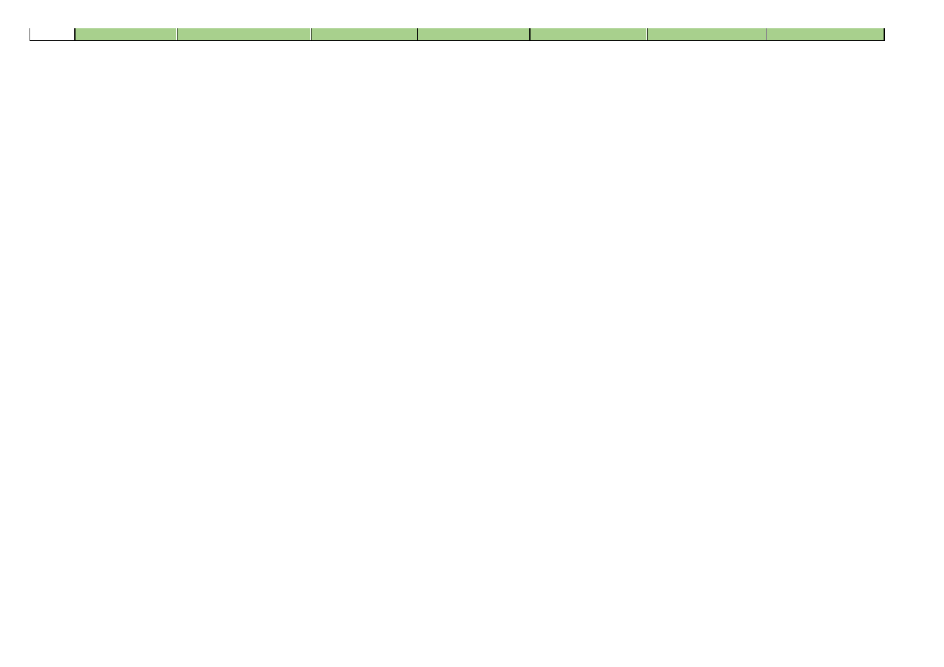,他们的人都是不是一个人,他们的人都是不是一个人,他们的人都是不是一个人,他们的人都是不是一个人,他们的人都是不是一个人,他们的人都是不是一个人,他们的人都是不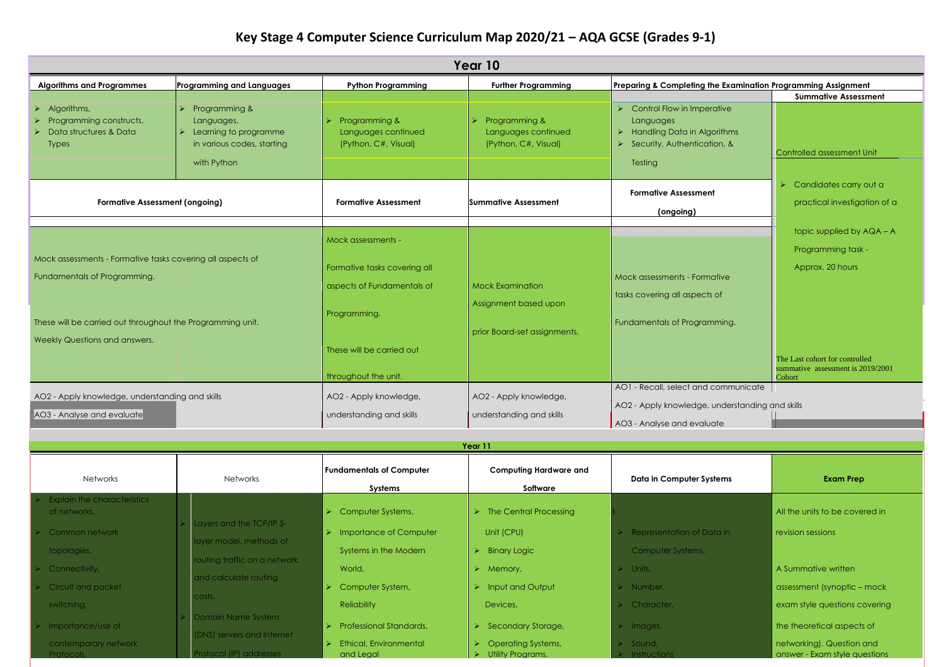# **Key Stage 4 Computer Science Curriculum Map 2020/21 – AQA GCSE (Grades 9-1)**

| Year 10                                                                                                                                                                                   |                                                                                                   |                                                                                                                                                       |                                                                                  |                                                                                                                                                                                                    |                                                                                                                                                      |  |
|-------------------------------------------------------------------------------------------------------------------------------------------------------------------------------------------|---------------------------------------------------------------------------------------------------|-------------------------------------------------------------------------------------------------------------------------------------------------------|----------------------------------------------------------------------------------|----------------------------------------------------------------------------------------------------------------------------------------------------------------------------------------------------|------------------------------------------------------------------------------------------------------------------------------------------------------|--|
| <b>Algorithms and Programmes</b>                                                                                                                                                          | <b>Programming and Languages</b>                                                                  | <b>Python Programming</b>                                                                                                                             | <b>Further Programming</b>                                                       | Preparing & Completing the Examination Programming Assignment                                                                                                                                      |                                                                                                                                                      |  |
| $\triangleright$ Algorithms,<br>Programming constructs,<br>Data structures & Data<br><b>Types</b>                                                                                         | Programming &<br>Languages,<br>Learning to programme<br>in various codes, starting<br>with Python | Programming &<br>Languages continued<br>(Python, C#, Visual)                                                                                          | Programming &<br>Languages continued<br>(Python, C#, Visual)                     | Control Flow in Imperative<br>$\blacktriangleright$<br>Languages<br>Handling Data in Algorithms<br>$\blacktriangleright$<br>Security, Authentication, &<br>$\blacktriangleright$<br><b>Testing</b> | <b>Summative Assessment</b><br><b>Controlled assessment Unit</b>                                                                                     |  |
| <b>Formative Assessment (ongoing)</b>                                                                                                                                                     |                                                                                                   | <b>Formative Assessment</b>                                                                                                                           | <b>Summative Assessment</b>                                                      | <b>Formative Assessment</b><br>(ongoing)                                                                                                                                                           | Candidates carry out a<br>practical investigation of a                                                                                               |  |
| Mock assessments - Formative tasks covering all aspects of<br>Fundamentals of Programming.<br>These will be carried out throughout the Programming unit.<br>Weekly Questions and answers. |                                                                                                   | Mock assessments -<br>Formative tasks covering all<br>aspects of Fundamentals of<br>Programming.<br>These will be carried out<br>throughout the unit. | <b>Mock Examination</b><br>Assignment based upon<br>prior Board-set assignments. | Mock assessments - Formative<br>tasks covering all aspects of<br>Fundamentals of Programming.                                                                                                      | topic supplied by AQA - A<br>Programming task -<br>Approx. 20 hours<br>The Last cohort for controlled<br>summative assessment is 2019/2001<br>Cohort |  |
| AO2 - Apply knowledge, understanding and skills<br>AO3 - Analyse and evaluate                                                                                                             |                                                                                                   | AO2 - Apply knowledge,<br>understanding and skills                                                                                                    | AO2 - Apply knowledge,<br>understanding and skills                               | AO1 - Recall, select and communicate<br>AO2 - Apply knowledge, understanding and skills<br>AO3 - Analyse and evaluate                                                                              |                                                                                                                                                      |  |
|                                                                                                                                                                                           |                                                                                                   |                                                                                                                                                       | Year 11                                                                          |                                                                                                                                                                                                    |                                                                                                                                                      |  |
| Networks                                                                                                                                                                                  | Networks                                                                                          | <b>Fundamentals of Computer</b><br><b>Systems</b>                                                                                                     | <b>Computing Hardware and</b><br>Software                                        | <b>Data in Computer Systems</b>                                                                                                                                                                    | <b>Exam Prep</b>                                                                                                                                     |  |
| <b>Explain the characteristics</b><br>of networks,<br>Common network                                                                                                                      | Layers and the TCP/IP 5-                                                                          | $\triangleright$ Computer Systems,<br>> Importance of Computer                                                                                        | <b>The Central Processing</b><br>$\triangleright$<br>Unit (CPU)                  | $\triangleright$ Representation of Data in                                                                                                                                                         | All the units to be covered in<br>revision sessions                                                                                                  |  |

| Year 11                                                      |                                                     |                                                         |                                                    |                                                         |                                                              |  |  |
|--------------------------------------------------------------|-----------------------------------------------------|---------------------------------------------------------|----------------------------------------------------|---------------------------------------------------------|--------------------------------------------------------------|--|--|
| Networks                                                     | Networks                                            | <b>Fundamentals of Computer</b><br>Systems              | <b>Computing Hardware and</b><br>Software          | <b>Data in Computer Systems</b>                         | <b>Exam Prep</b>                                             |  |  |
| $\triangleright$ Explain the characteristics<br>of networks, |                                                     | $\triangleright$ Computer Systems,                      | $\triangleright$ The Central Processing            |                                                         | All the units to be covered in                               |  |  |
| Common network                                               | Layers and the TCP/IP 5-<br>layer model, methods of | > Importance of Computer                                | Unit (CPU)                                         | $\triangleright$ Representation of Data in              | revision sessions                                            |  |  |
| topologies,                                                  | routing traffic on a network                        | Systems in the Modern                                   | $\triangleright$ Binary Logic                      | Computer Systems,                                       |                                                              |  |  |
| Connectivity,                                                | and calculate routing                               | World,                                                  | $\blacktriangleright$<br>Memory,                   | $\triangleright$ Units,                                 | A Summative written                                          |  |  |
| Circuit and packet<br>switching,                             | costs.                                              | $\triangleright$ Computer System,<br><b>Reliability</b> | $\prec$<br>Input and Output<br>Devices,            | $\triangleright$ Number,<br>$\triangleright$ Character, | assessment (synoptic – mock<br>exam style questions covering |  |  |
| Importance/use of                                            | Domain Name System                                  | $\triangleright$ Professional Standards,                | Secondary Storage,<br>$\blacktriangleright$        | $\triangleright$ Images,                                | the theoretical aspects of                                   |  |  |
| contemporary network                                         | (DNS) servers and Internet                          | > Ethical, Environmental                                | $\blacktriangleright$<br><b>Operating Systems,</b> | $\triangleright$ Sound,                                 | networking). Question and                                    |  |  |
| Protocols,                                                   | Protocol (IP) addresses                             | and Legal                                               | Utility Programs,<br>$\triangleright$              | $\triangleright$ Instructions                           | answer - Exam style questions                                |  |  |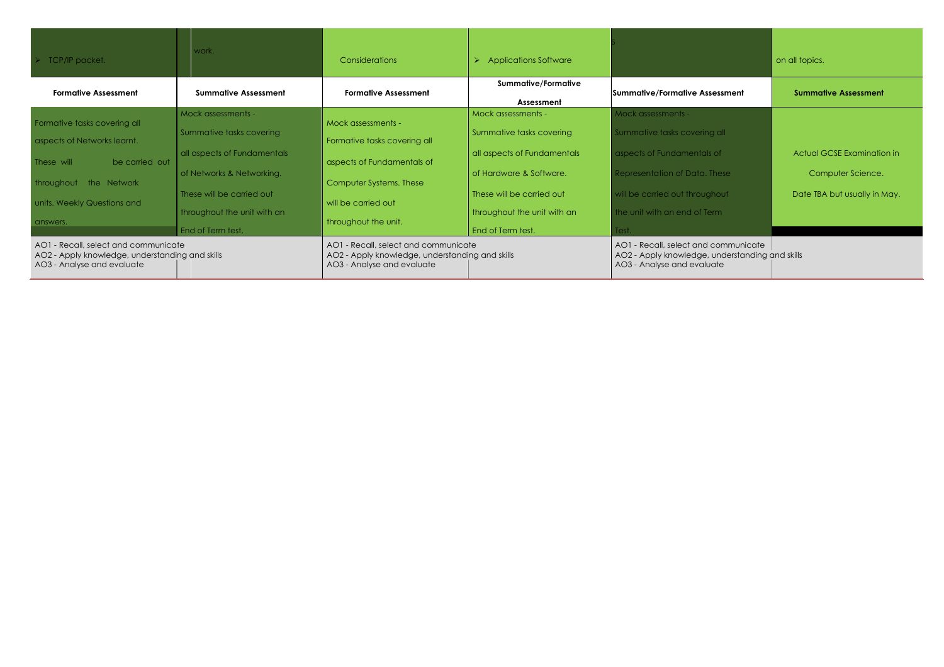| <b>TCP/IP packet.</b>                                                                                                 | work.                       | <b>Considerations</b>                                                                                                 | <b>Applications Software</b> |                                                                                                                       | on all topics.                    |  |
|-----------------------------------------------------------------------------------------------------------------------|-----------------------------|-----------------------------------------------------------------------------------------------------------------------|------------------------------|-----------------------------------------------------------------------------------------------------------------------|-----------------------------------|--|
| <b>Formative Assessment</b>                                                                                           | <b>Summative Assessment</b> | <b>Formative Assessment</b>                                                                                           | <b>Summative/Formative</b>   | Summative/Formative Assessment                                                                                        | <b>Summative Assessment</b>       |  |
|                                                                                                                       |                             |                                                                                                                       | Assessment                   |                                                                                                                       |                                   |  |
|                                                                                                                       | <b>Mock assessments -</b>   |                                                                                                                       | <b>Mock assessments -</b>    | Mock assessments -                                                                                                    |                                   |  |
| Formative tasks covering all                                                                                          | Summative tasks covering    | Mock assessments -                                                                                                    | Summative tasks covering     | Summative tasks covering all                                                                                          |                                   |  |
| aspects of Networks learnt.                                                                                           |                             | Formative tasks covering all                                                                                          |                              |                                                                                                                       |                                   |  |
| be carried out<br>These will                                                                                          | all aspects of Fundamentals | aspects of Fundamentals of                                                                                            | all aspects of Fundamentals  | <b>aspects of Fundamentals of</b>                                                                                     | <b>Actual GCSE Examination in</b> |  |
|                                                                                                                       | of Networks & Networking.   |                                                                                                                       | of Hardware & Software.      | Representation of Data. These                                                                                         | Computer Science.                 |  |
| the Network<br>throughout                                                                                             |                             | Computer Systems. These                                                                                               |                              |                                                                                                                       |                                   |  |
| units. Weekly Questions and                                                                                           | These will be carried out   | will be carried out                                                                                                   | These will be carried out    | will be carried out throughout                                                                                        | Date TBA but usually in May.      |  |
|                                                                                                                       | throughout the unit with an |                                                                                                                       | throughout the unit with an  | the unit with an end of Term                                                                                          |                                   |  |
| answers.                                                                                                              | End of Term test.           | throughout the unit.                                                                                                  | End of Term test.            |                                                                                                                       |                                   |  |
| AO1 - Recall, select and communicate<br>AO2 - Apply knowledge, understanding and skills<br>AO3 - Analyse and evaluate |                             | AO1 - Recall, select and communicate<br>AO2 - Apply knowledge, understanding and skills<br>AO3 - Analyse and evaluate |                              | AO1 - Recall, select and communicate<br>AO2 - Apply knowledge, understanding and skills<br>AO3 - Analyse and evaluate |                                   |  |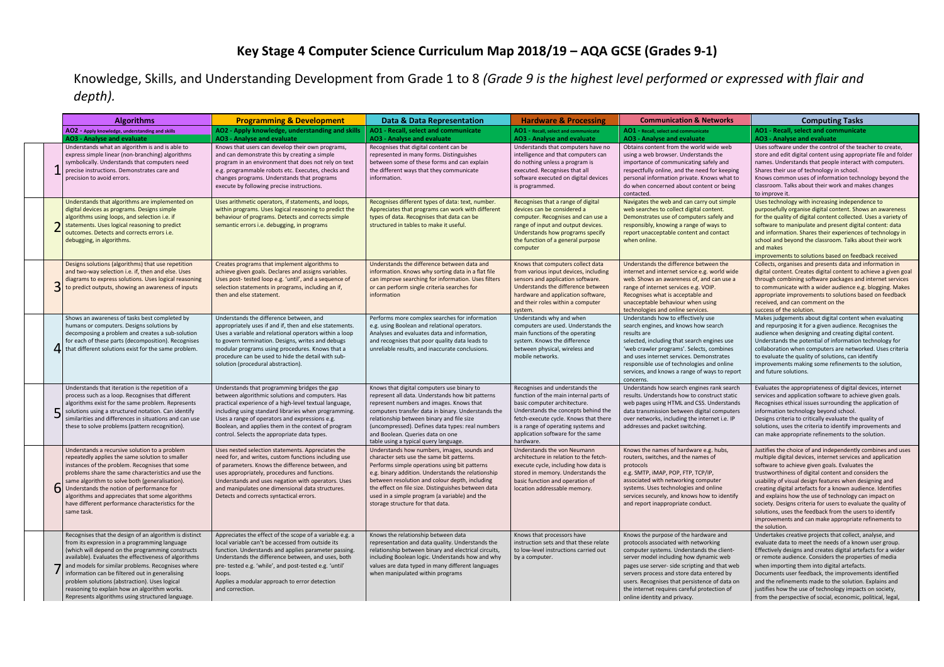## **Key Stage 4 Computer Science Curriculum Map 2018/19 – AQA GCSE (Grades 9-1)**

Knowledge, Skills, and Understanding Development from Grade 1 to 8 *(Grade 9 is the highest level performed or expressed with flair and depth).*

|              | <b>Algorithms</b>                                                                                                                                                                                                                                                                                                                                                                                                                                                                 | <b>Programming &amp; Development</b>                                                                                                                                                                                                                                                                                                                                        | <b>Data &amp; Data Representation</b>                                                                                                                                                                                                                                                                                                                                                         | <b>Hardware &amp; Processing</b>                                                                                                                                                                                                                                                  | <b>Communication &amp; Networks</b>                                                                                                                                                                                                                                                                                                                                                                | <b>Computing Tasks</b>                                                                                                                                                                                                                                                                                                                                                                                                                                                                                                                                                                                                      |
|--------------|-----------------------------------------------------------------------------------------------------------------------------------------------------------------------------------------------------------------------------------------------------------------------------------------------------------------------------------------------------------------------------------------------------------------------------------------------------------------------------------|-----------------------------------------------------------------------------------------------------------------------------------------------------------------------------------------------------------------------------------------------------------------------------------------------------------------------------------------------------------------------------|-----------------------------------------------------------------------------------------------------------------------------------------------------------------------------------------------------------------------------------------------------------------------------------------------------------------------------------------------------------------------------------------------|-----------------------------------------------------------------------------------------------------------------------------------------------------------------------------------------------------------------------------------------------------------------------------------|----------------------------------------------------------------------------------------------------------------------------------------------------------------------------------------------------------------------------------------------------------------------------------------------------------------------------------------------------------------------------------------------------|-----------------------------------------------------------------------------------------------------------------------------------------------------------------------------------------------------------------------------------------------------------------------------------------------------------------------------------------------------------------------------------------------------------------------------------------------------------------------------------------------------------------------------------------------------------------------------------------------------------------------------|
|              | AO2 - Apply knowledge, understanding and skills<br><b>AO3 - Analyse and evaluate</b>                                                                                                                                                                                                                                                                                                                                                                                              | AO2 - Apply knowledge, understanding and skills<br><b>AO3 - Analyse and evaluate</b>                                                                                                                                                                                                                                                                                        | <b>AO1 - Recall, select and communicate</b><br><b>AO3 - Analyse and evaluate</b>                                                                                                                                                                                                                                                                                                              | AO1 - Recall, select and communicate<br><b>AO3 - Analyse and evaluate</b>                                                                                                                                                                                                         | AO1 - Recall, select and communicate<br><b>AO3 - Analyse and evaluate</b>                                                                                                                                                                                                                                                                                                                          | AO1 - Recall, select and communicate<br><b>AO3 - Analyse and evaluate</b>                                                                                                                                                                                                                                                                                                                                                                                                                                                                                                                                                   |
|              | Understands what an algorithm is and is able to<br>express simple linear (non-branching) algorithms<br>symbolically. Understands that computers need<br>precise instructions. Demonstrates care and<br>precision to avoid errors.                                                                                                                                                                                                                                                 | Knows that users can develop their own programs,<br>and can demonstrate this by creating a simple<br>program in an environment that does not rely on text<br>e.g. programmable robots etc. Executes, checks and<br>changes programs. Understands that programs<br>execute by following precise instructions.                                                                | Recognises that digital content can be<br>represented in many forms. Distinguishes<br>between some of these forms and can explain<br>the different ways that they communicate<br>information.                                                                                                                                                                                                 | Understands that computers have no<br>intelligence and that computers can<br>do nothing unless a program is<br>executed. Recognises that all<br>software executed on digital devices<br>is programmed.                                                                            | Obtains content from the world wide web<br>using a web browser. Understands the<br>importance of communicating safely and<br>respectfully online, and the need for keeping<br>personal information private. Knows what to<br>do when concerned about content or being<br>contacted.                                                                                                                | Uses software under the control of the teacher to create,<br>store and edit digital content using appropriate file and folder<br>names. Understands that people interact with computers.<br>Shares their use of technology in school.<br>Knows common uses of information technology beyond the<br>classroom. Talks about their work and makes changes<br>to improve it.                                                                                                                                                                                                                                                    |
|              | Understands that algorithms are implemented on<br>digital devices as programs. Designs simple<br>algorithms using loops, and selection i.e. if<br>statements. Uses logical reasoning to predict<br>outcomes. Detects and corrects errors i.e.<br>debugging, in algorithms.                                                                                                                                                                                                        | Uses arithmetic operators, if statements, and loops,<br>within programs. Uses logical reasoning to predict the<br>behaviour of programs. Detects and corrects simple<br>semantic errors i.e. debugging, in programs                                                                                                                                                         | Recognises different types of data: text, number.<br>Appreciates that programs can work with different<br>types of data. Recognises that data can be<br>structured in tables to make it useful.                                                                                                                                                                                               | Recognises that a range of digital<br>devices can be considered a<br>computer. Recognises and can use a<br>range of input and output devices.<br>Understands how programs specify<br>the function of a general purpose<br>computer                                                | Navigates the web and can carry out simple<br>web searches to collect digital content.<br>Demonstrates use of computers safely and<br>responsibly, knowing a range of ways to<br>report unacceptable content and contact<br>when online.                                                                                                                                                           | Uses technology with increasing independence to<br>purposefully organise digital content. Shows an awareness<br>for the quality of digital content collected. Uses a variety of<br>software to manipulate and present digital content: data<br>and information. Shares their experiences of technology in<br>school and beyond the classroom. Talks about their work<br>and makes<br>improvements to solutions based on feedback received                                                                                                                                                                                   |
|              | Designs solutions (algorithms) that use repetition<br>and two-way selection i.e. if, then and else. Uses<br>diagrams to express solutions. Uses logical reasoning<br>to predict outputs, showing an awareness of inputs                                                                                                                                                                                                                                                           | Creates programs that implement algorithms to<br>achieve given goals. Declares and assigns variables.<br>Uses post-tested loop e.g. 'until', and a sequence of<br>selection statements in programs, including an if,<br>then and else statement.                                                                                                                            | Understands the difference between data and<br>information. Knows why sorting data in a flat file<br>can improve searching for information. Uses filters<br>or can perform single criteria searches for<br>information                                                                                                                                                                        | Knows that computers collect data<br>from various input devices, including<br>sensors and application software.<br>Understands the difference between<br>hardware and application software,<br>and their roles within a computer<br>system.                                       | Understands the difference between the<br>internet and internet service e.g. world wide<br>web. Shows an awareness of, and can use a<br>range of internet services e.g. VOIP.<br>Recognises what is acceptable and<br>unacceptable behaviour when using<br>technologies and online services                                                                                                        | Collects, organises and presents data and information in<br>digital content. Creates digital content to achieve a given goal<br>through combining software packages and internet services<br>to communicate with a wider audience e.g. blogging. Makes<br>appropriate improvements to solutions based on feedback<br>received, and can comment on the<br>success of the solution.                                                                                                                                                                                                                                           |
|              | Shows an awareness of tasks best completed by<br>humans or computers. Designs solutions by<br>decomposing a problem and creates a sub-solution<br>for each of these parts (decomposition). Recognises<br>$\mathbf{I}$ that different solutions exist for the same problem.                                                                                                                                                                                                        | Understands the difference between, and<br>appropriately uses if and if, then and else statements.<br>Uses a variable and relational operators within a loop<br>to govern termination. Designs, writes and debugs<br>modular programs using procedures. Knows that a<br>procedure can be used to hide the detail with sub-<br>solution (procedural abstraction).            | Performs more complex searches for information<br>e.g. using Boolean and relational operators.<br>Analyses and evaluates data and information,<br>and recognises that poor quality data leads to<br>unreliable results, and inaccurate conclusions.                                                                                                                                           | Understands why and when<br>computers are used. Understands the<br>main functions of the operating<br>system. Knows the difference<br>between physical, wireless and<br>mobile networks.                                                                                          | Understands how to effectively use<br>search engines, and knows how search<br>results are<br>selected, including that search engines use<br>'web crawler programs'. Selects, combines<br>and uses internet services. Demonstrates<br>responsible use of technologies and online<br>services, and knows a range of ways to report<br>concerns.                                                      | Makes judgements about digital content when evaluating<br>and repurposing it for a given audience. Recognises the<br>audience when designing and creating digital content.<br>Understands the potential of information technology for<br>collaboration when computers are networked. Uses criteria<br>to evaluate the quality of solutions, can identify<br>improvements making some refinements to the solution,<br>and future solutions.                                                                                                                                                                                  |
| ᄃ            | Understands that iteration is the repetition of a<br>process such as a loop. Recognises that different<br>algorithms exist for the same problem. Represents<br>solutions using a structured notation. Can identify<br>similarities and differences in situations and can use<br>these to solve problems (pattern recognition).                                                                                                                                                    | Understands that programming bridges the gap<br>between algorithmic solutions and computers. Has<br>practical experience of a high-level textual language,<br>including using standard libraries when programming.<br>Uses a range of operators and expressions e.g.<br>Boolean, and applies them in the context of program<br>control. Selects the appropriate data types. | Knows that digital computers use binary to<br>represent all data. Understands how bit patterns<br>represent numbers and images. Knows that<br>computers transfer data in binary. Understands the<br>relationship between binary and file size<br>(uncompressed). Defines data types: real numbers<br>and Boolean. Queries data on one<br>table using a typical query language.                | Recognises and understands the<br>function of the main internal parts of<br>basic computer architecture.<br>Understands the concepts behind the<br>fetch-execute cycle. Knows that there<br>is a range of operating systems and<br>application software for the same<br>hardware. | Understands how search engines rank search<br>results. Understands how to construct static<br>web pages using HTML and CSS. Understands<br>data transmission between digital computers<br>over networks, including the internet i.e. IP<br>addresses and packet switching.                                                                                                                         | Evaluates the appropriateness of digital devices, internet<br>services and application software to achieve given goals.<br>Recognises ethical issues surrounding the application of<br>information technology beyond school.<br>Designs criteria to critically evaluate the quality of<br>solutions, uses the criteria to identify improvements and<br>can make appropriate refinements to the solution.                                                                                                                                                                                                                    |
| $\mathsf{b}$ | Understands a recursive solution to a problem<br>repeatedly applies the same solution to smaller<br>instances of the problem. Recognises that some<br>problems share the same characteristics and use the<br>same algorithm to solve both (generalisation).<br>Understands the notion of performance for<br>algorithms and appreciates that some algorithms<br>have different performance characteristics for the<br>same task.                                                   | Uses nested selection statements. Appreciates the<br>need for, and writes, custom functions including use<br>of parameters. Knows the difference between, and<br>uses appropriately, procedures and functions.<br>Understands and uses negation with operators. Uses<br>and manipulates one dimensional data structures.<br>Detects and corrects syntactical errors.        | Understands how numbers, images, sounds and<br>character sets use the same bit patterns.<br>Performs simple operations using bit patterns<br>e.g. binary addition. Understands the relationship<br>between resolution and colour depth, including<br>the effect on file size. Distinguishes between data<br>used in a simple program (a variable) and the<br>storage structure for that data. | Understands the von Neumann<br>architecture in relation to the fetch-<br>execute cycle, including how data is<br>stored in memory. Understands the<br>basic function and operation of<br>location addressable memory.                                                             | Knows the names of hardware e.g. hubs,<br>routers, switches, and the names of<br>protocols<br>e.g. SMTP, iMAP, POP, FTP, TCP/IP,<br>associated with networking computer<br>systems. Uses technologies and online<br>services securely, and knows how to identify<br>and report inappropriate conduct.                                                                                              | Justifies the choice of and independently combines and uses<br>multiple digital devices, internet services and application<br>software to achieve given goals. Evaluates the<br>trustworthiness of digital content and considers the<br>usability of visual design features when designing and<br>creating digital artefacts for a known audience. Identifies<br>and explains how the use of technology can impact on<br>society. Designs criteria for users to evaluate the quality of<br>solutions, uses the feedback from the users to identify<br>improvements and can make appropriate refinements to<br>the solution. |
| ⇁            | Recognises that the design of an algorithm is distinct<br>from its expression in a programming language<br>(which will depend on the programming constructs<br>available). Evaluates the effectiveness of algorithms<br>and models for similar problems. Recognises where<br>information can be filtered out in generalising<br>problem solutions (abstraction). Uses logical<br>reasoning to explain how an algorithm works.<br>Represents algorithms using structured language. | Appreciates the effect of the scope of a variable e.g. a<br>local variable can't be accessed from outside its<br>function. Understands and applies parameter passing.<br>Understands the difference between, and uses, both<br>pre-tested e.g. 'while', and post-tested e.g. 'until'<br>loops.<br>Applies a modular approach to error detection<br>and correction.          | Knows the relationship between data<br>representation and data quality. Understands the<br>relationship between binary and electrical circuits,<br>including Boolean logic. Understands how and why<br>values are data typed in many different languages<br>when manipulated within programs                                                                                                  | Knows that processors have<br>instruction sets and that these relate<br>to low-level instructions carried out<br>by a computer.                                                                                                                                                   | Knows the purpose of the hardware and<br>protocols associated with networking<br>computer systems. Understands the client-<br>server model including how dynamic web<br>pages use server- side scripting and that web<br>servers process and store data entered by<br>users. Recognises that persistence of data on<br>the internet requires careful protection of<br>online identity and privacy. | Undertakes creative projects that collect, analyse, and<br>evaluate data to meet the needs of a known user group.<br>Effectively designs and creates digital artefacts for a wider<br>or remote audience. Considers the properties of media<br>when importing them into digital artefacts.<br>Documents user feedback, the improvements identified<br>and the refinements made to the solution. Explains and<br>justifies how the use of technology impacts on society,<br>from the perspective of social, economic, political, legal,                                                                                      |